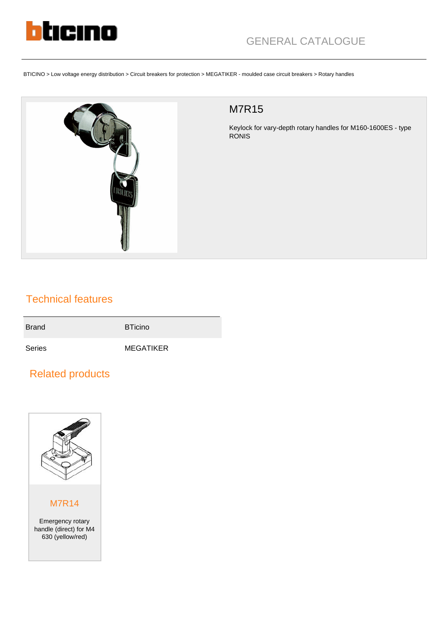

BTICINO > Low voltage energy distribution > Circuit breakers for protection > MEGATIKER - moulded case circuit breakers > Rotary handles



## M7R15

Keylock for vary-depth rotary handles for M160-1600ES - type RONIS

## Technical features

Brand BTicino

Series MEGATIKER

## Related products



## M7R14

Emergency rotary handle (direct) for M4 630 (yellow/red)